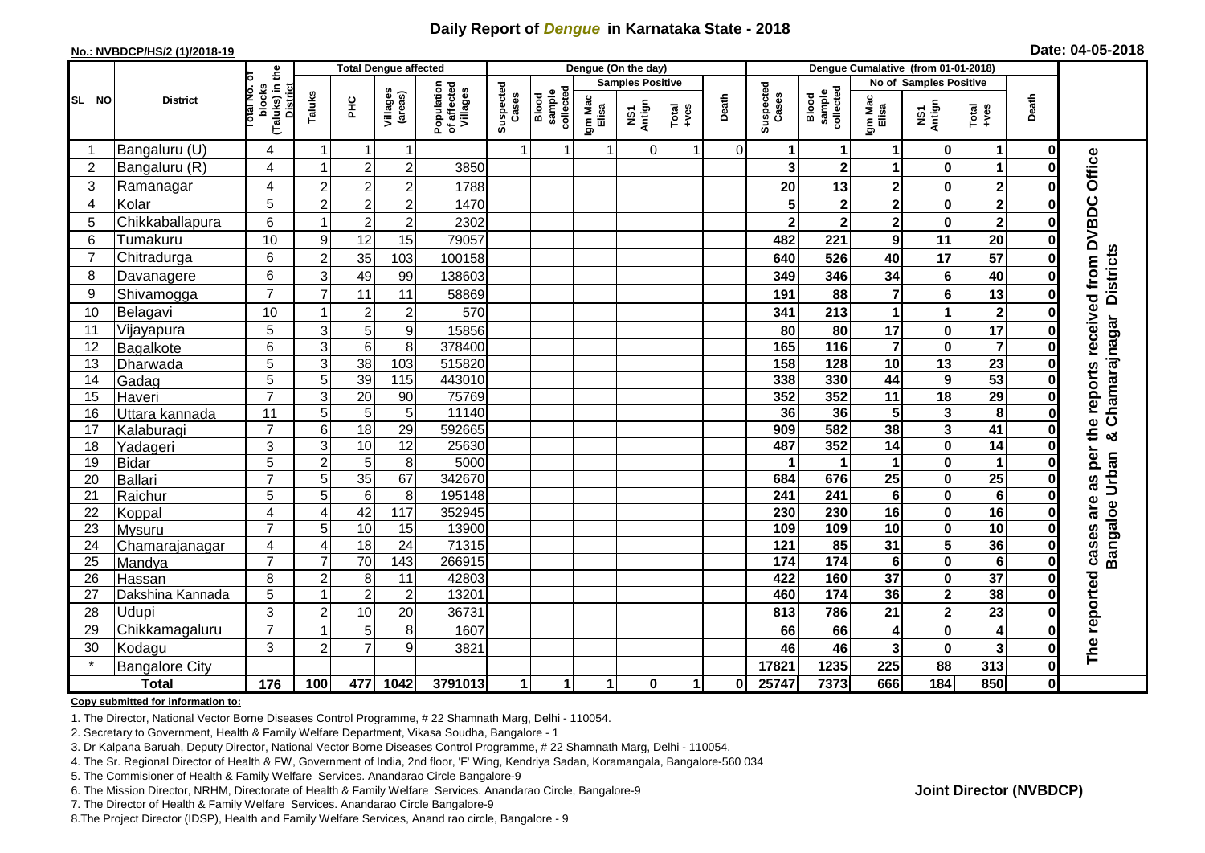## **Daily Report of** *Dengue* **in Karnataka State - 2018**

#### **No.: NVBDCP/HS/2 (1)/2018-19**

|  | Date: 04-05-2018 |  |
|--|------------------|--|
|--|------------------|--|

|                 |                       |                                                       |                                  | <b>Total Dengue affected</b> |                     |                                       | Dengue (On the day) |                              |                      |                         |               |                |                    | Dengue Cumalative (from 01-01-2018) |                         |                         |                         |             |                                 |
|-----------------|-----------------------|-------------------------------------------------------|----------------------------------|------------------------------|---------------------|---------------------------------------|---------------------|------------------------------|----------------------|-------------------------|---------------|----------------|--------------------|-------------------------------------|-------------------------|-------------------------|-------------------------|-------------|---------------------------------|
|                 |                       |                                                       |                                  |                              |                     |                                       |                     |                              |                      | <b>Samples Positive</b> |               |                |                    |                                     |                         | No of Samples Positive  |                         |             |                                 |
| SL NO           | <b>District</b>       | (Taluks) in the<br>District<br>lotal No. ol<br>blocks | Taluks                           | <b>PHC</b>                   | Villages<br>(areas) | Population<br>of affected<br>Villages | Suspected<br>Cases  | sample<br>collected<br>Blood | Igm Mac<br>Elisa     | NS1<br>Antign           | Total<br>+ves | Death          | Suspected<br>Cases | collected<br>sample<br>Blood        | Igm Mac<br>Elisa        | NS1<br>Antign           | Total<br>+ves           | Death       |                                 |
|                 | Bangaluru (U)         | 4                                                     | -1                               | -1                           | 1                   |                                       | $\overline{1}$      | 1                            | $\blacktriangleleft$ | $\mathbf 0$             | 1             | $\overline{0}$ |                    | $\mathbf 1$                         | 1                       | 0                       | $\mathbf 1$             | 0           |                                 |
| 2               | Bangaluru (R)         | 4                                                     | 1                                | $\overline{2}$               | $\overline{c}$      | 3850                                  |                     |                              |                      |                         |               |                |                    | $\mathbf{2}$                        | 1                       | $\bf{0}$                | 1                       | $\Omega$    |                                 |
| 3               | Ramanagar             | 4                                                     | $\overline{2}$                   | $\mathbf 2$                  | $\overline{c}$      | 1788                                  |                     |                              |                      |                         |               |                | 20                 | 13                                  | 2                       | $\bf{0}$                | $\overline{\mathbf{2}}$ | ŋ           | Office                          |
| 4               | Kolar                 | 5                                                     | $\overline{c}$                   | $\boldsymbol{2}$             | $\overline{c}$      | 1470                                  |                     |                              |                      |                         |               |                |                    | $\mathbf 2$                         | $\overline{\mathbf{2}}$ | $\mathbf 0$             | $\overline{\mathbf{2}}$ | 0           |                                 |
| 5               | Chikkaballapura       | 6                                                     |                                  | $\overline{2}$               | $\overline{c}$      | 2302                                  |                     |                              |                      |                         |               |                |                    | $\overline{\mathbf{2}}$             | $\overline{\mathbf{2}}$ | $\mathbf 0$             | $\overline{\mathbf{2}}$ | $\bf{0}$    |                                 |
| 6               | Tumakuru              | 10                                                    | 9                                | 12                           | 15                  | 79057                                 |                     |                              |                      |                         |               |                | 482                | 221                                 | 9                       | 11                      | 20                      | 0           |                                 |
| $\overline{7}$  | Chitradurga           | 6                                                     | $\overline{c}$                   | 35                           | 103                 | 100158                                |                     |                              |                      |                         |               |                | 640                | 526                                 | 40                      | $\overline{17}$         | $\overline{57}$         | $\bf{0}$    |                                 |
| 8               | Davanagere            | 6                                                     | 3                                | 49                           | 99                  | 138603                                |                     |                              |                      |                         |               |                | 349                | 346                                 | 34                      | $\bf 6$                 | 40                      | 0           |                                 |
| 9               | Shivamogga            | $\overline{7}$                                        | $\overline{7}$                   | 11                           | 11                  | 58869                                 |                     |                              |                      |                         |               |                | 191                | 88                                  | 7                       | 6                       | 13                      | 0           | <b>Districts</b>                |
| 10              | Belagavi              | 10                                                    |                                  | $\boldsymbol{2}$             | $\overline{c}$      | 570                                   |                     |                              |                      |                         |               |                | 341                | 213                                 | 1                       | 1                       | $\boldsymbol{2}$        |             | the reports received from DVBDC |
| 11              | Vijayapura            | 5                                                     | 3                                | 5                            | 9                   | 15856                                 |                     |                              |                      |                         |               |                | 80                 | 80                                  | 17                      | $\pmb{0}$               | $\overline{17}$         |             | Chamarajnagar                   |
| 12              | Bagalkote             | 6                                                     | 3                                | 6                            | 8                   | 378400                                |                     |                              |                      |                         |               |                | 165                | $\frac{116}{116}$                   | $\overline{7}$          | $\pmb{0}$               | $\overline{\mathbf{7}}$ | 0           |                                 |
| 13              | Dharwada              | 5                                                     | 3                                | $\overline{38}$              | 103                 | 515820                                |                     |                              |                      |                         |               |                | 158                | 128                                 | $\overline{10}$         | $\overline{13}$         | $\overline{23}$         | $\bf{0}$    |                                 |
| 14              | Gadag                 | 5                                                     | $\overline{5}$                   | 39                           | $\frac{115}{115}$   | 443010                                |                     |                              |                      |                         |               |                | 338                | 330                                 | 44                      | $\boldsymbol{9}$        | 53                      | O           |                                 |
| 15              | Haveri                | $\overline{7}$                                        | 3                                | 20                           | 90                  | 75769                                 |                     |                              |                      |                         |               |                | 352                | 352                                 | 11                      | 18                      | 29                      | O           |                                 |
| 16              | Uttara kannada        | 11                                                    | 5                                | 5                            | $\overline{5}$      | 11140                                 |                     |                              |                      |                         |               |                | 36                 | 36                                  | $\overline{5}$          | $\mathbf{3}$            | 8                       |             |                                 |
| 17              | Kalaburagi            | $\overline{7}$                                        | $6\phantom{1}6$                  | 18                           | $\overline{29}$     | 592665                                |                     |                              |                      |                         |               |                | 909                | 582                                 | 38                      | $\overline{\mathbf{3}}$ | $\overline{41}$         | O           | ×                               |
| 18              | Yadageri              | 3                                                     | 3                                | 10                           | 12                  | 25630                                 |                     |                              |                      |                         |               |                | 487                | 352                                 | 14                      | $\pmb{0}$               | 14                      | O           |                                 |
| 19              | <b>Bidar</b>          | 5                                                     | $\overline{2}$                   | $\overline{5}$               | 8                   | 5000                                  |                     |                              |                      |                         |               |                |                    |                                     | 1                       | $\pmb{0}$               | $\mathbf{1}$            |             | per                             |
| 20              | <b>Ballari</b>        | $\overline{7}$                                        | 5                                | $\overline{35}$              | 67                  | 342670                                |                     |                              |                      |                         |               |                | 684                | 676                                 | $\overline{25}$         | $\mathbf 0$             | 25                      | O           | 3g                              |
| 21              | Raichur               | 5                                                     | 5                                | $\,6$                        | 8                   | 195148                                |                     |                              |                      |                         |               |                | 241                | 241                                 | 6                       | $\pmb{0}$               | $6\phantom{1}6$         | ŋ           | are                             |
| 22              | Koppal                | 4                                                     | $\overline{4}$                   | 42                           | 117                 | 352945                                |                     |                              |                      |                         |               |                | 230                | 230                                 | 16                      | $\mathbf 0$             | 16                      | O           |                                 |
| 23              | <b>Mysuru</b>         | $\overline{7}$                                        | 5                                | 10                           | 15                  | 13900                                 |                     |                              |                      |                         |               |                | 109                | 109                                 | $\overline{10}$         | $\overline{\mathbf{0}}$ | 10                      | O           |                                 |
| 24              | Chamarajanagar        | 4                                                     | 4                                | 18                           | 24                  | 71315                                 |                     |                              |                      |                         |               |                | $\overline{121}$   | 85                                  | $\overline{31}$         | $\overline{\mathbf{5}}$ | 36                      | 0           | Bangaloe Urban<br>cases         |
| $\overline{25}$ | Mandya                | $\overline{7}$                                        | $\overline{7}$                   | 70                           | 143                 | 266915                                |                     |                              |                      |                         |               |                | 174                | 174                                 | $\bf 6$                 | $\overline{\mathbf{0}}$ | $\overline{6}$          | $\bf{0}$    |                                 |
| 26              | Hassan                | 8                                                     | $\overline{2}$<br>$\overline{1}$ | 8                            | 11                  | 42803                                 |                     |                              |                      |                         |               |                | 422                | 160                                 | $\overline{37}$         | $\mathbf 0$             | $\overline{37}$         | 0           |                                 |
| 27              | Dakshina Kannada      | 5                                                     |                                  | $\overline{2}$               | $\overline{2}$      | 13201                                 |                     |                              |                      |                         |               |                | 460                | $\overline{174}$                    | 36                      | $\overline{2}$          | 38                      | $\bf{0}$    |                                 |
| 28              | Udupi                 | 3                                                     | $\overline{2}$                   | 10                           | 20                  | 36731                                 |                     |                              |                      |                         |               |                | 813                | 786                                 | 21                      | $\mathbf{2}$            | 23                      | ŋ           |                                 |
| 29              | Chikkamagaluru        | $\overline{7}$                                        |                                  | 5                            | 8                   | 1607                                  |                     |                              |                      |                         |               |                | 66                 | 66                                  | 4                       | $\mathbf 0$             | 4                       | ŋ           |                                 |
| 30              | Kodagu                | 3                                                     | $\overline{c}$                   | $\overline{7}$               | 9                   | 3821                                  |                     |                              |                      |                         |               |                | 46                 | 46                                  | $\overline{\mathbf{3}}$ | $\pmb{0}$               | $\mathbf{3}$            | 0           | The reported                    |
|                 | <b>Bangalore City</b> |                                                       |                                  |                              |                     |                                       |                     |                              |                      |                         |               |                | 17821              | 1235                                | 225                     | 88                      | 313                     | $\mathbf 0$ |                                 |
|                 | <b>Total</b>          | $\frac{1}{176}$                                       | 100                              | 477                          | 1042                | 3791013                               |                     | 1                            | 1                    | $\mathbf 0$             | 1             | 0              | 25747              | 7373                                | 666                     | 184                     | 850                     | 0           |                                 |

#### **Copy submitted for information to:**

1. The Director, National Vector Borne Diseases Control Programme, # 22 Shamnath Marg, Delhi - 110054.

2. Secretary to Government, Health & Family Welfare Department, Vikasa Soudha, Bangalore - 1

3. Dr Kalpana Baruah, Deputy Director, National Vector Borne Diseases Control Programme, # 22 Shamnath Marg, Delhi - 110054.

4. The Sr. Regional Director of Health & FW, Government of India, 2nd floor, 'F' Wing, Kendriya Sadan, Koramangala, Bangalore-560 034

5. The Commisioner of Health & Family Welfare Services. Anandarao Circle Bangalore-9

6. The Mission Director, NRHM, Directorate of Health & Family Welfare Services. Anandarao Circle, Bangalore-9

7. The Director of Health & Family Welfare Services. Anandarao Circle Bangalore-9

8.The Project Director (IDSP), Health and Family Welfare Services, Anand rao circle, Bangalore - 9